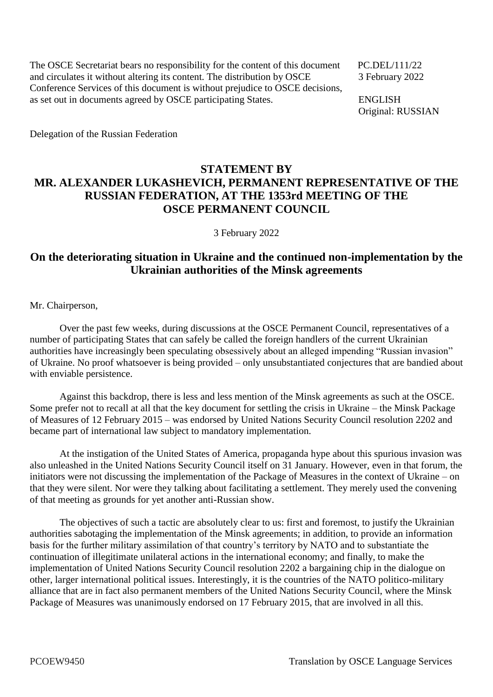The OSCE Secretariat bears no responsibility for the content of this document PC.DEL/111/22 and circulates it without altering its content. The distribution by OSCE 3 February 2022 Conference Services of this document is without prejudice to OSCE decisions, as set out in documents agreed by OSCE participating States. ENGLISH

Original: RUSSIAN

Delegation of the Russian Federation

## **STATEMENT BY MR. ALEXANDER LUKASHEVICH, PERMANENT REPRESENTATIVE OF THE RUSSIAN FEDERATION, AT THE 1353rd MEETING OF THE OSCE PERMANENT COUNCIL**

3 February 2022

## **On the deteriorating situation in Ukraine and the continued non-implementation by the Ukrainian authorities of the Minsk agreements**

Mr. Chairperson,

Over the past few weeks, during discussions at the OSCE Permanent Council, representatives of a number of participating States that can safely be called the foreign handlers of the current Ukrainian authorities have increasingly been speculating obsessively about an alleged impending "Russian invasion" of Ukraine. No proof whatsoever is being provided – only unsubstantiated conjectures that are bandied about with enviable persistence.

Against this backdrop, there is less and less mention of the Minsk agreements as such at the OSCE. Some prefer not to recall at all that the key document for settling the crisis in Ukraine – the Minsk Package of Measures of 12 February 2015 – was endorsed by United Nations Security Council resolution 2202 and became part of international law subject to mandatory implementation.

At the instigation of the United States of America, propaganda hype about this spurious invasion was also unleashed in the United Nations Security Council itself on 31 January. However, even in that forum, the initiators were not discussing the implementation of the Package of Measures in the context of Ukraine – on that they were silent. Nor were they talking about facilitating a settlement. They merely used the convening of that meeting as grounds for yet another anti-Russian show.

The objectives of such a tactic are absolutely clear to us: first and foremost, to justify the Ukrainian authorities sabotaging the implementation of the Minsk agreements; in addition, to provide an information basis for the further military assimilation of that country's territory by NATO and to substantiate the continuation of illegitimate unilateral actions in the international economy; and finally, to make the implementation of United Nations Security Council resolution 2202 a bargaining chip in the dialogue on other, larger international political issues. Interestingly, it is the countries of the NATO politico-military alliance that are in fact also permanent members of the United Nations Security Council, where the Minsk Package of Measures was unanimously endorsed on 17 February 2015, that are involved in all this.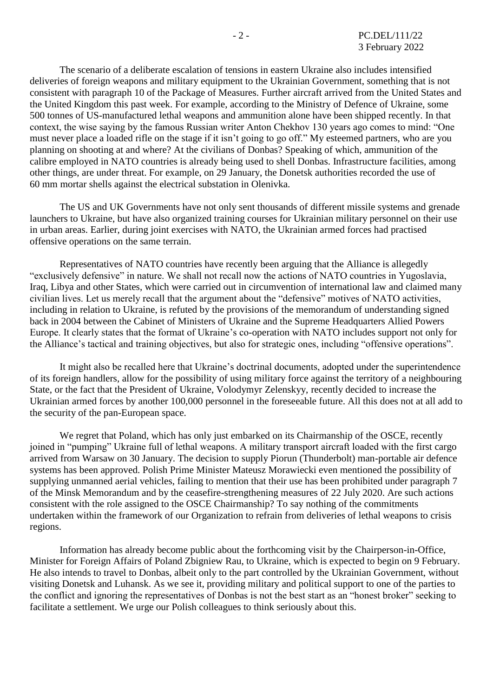The scenario of a deliberate escalation of tensions in eastern Ukraine also includes intensified deliveries of foreign weapons and military equipment to the Ukrainian Government, something that is not consistent with paragraph 10 of the Package of Measures. Further aircraft arrived from the United States and the United Kingdom this past week. For example, according to the Ministry of Defence of Ukraine, some 500 tonnes of US-manufactured lethal weapons and ammunition alone have been shipped recently. In that context, the wise saying by the famous Russian writer Anton Chekhov 130 years ago comes to mind: "One must never place a loaded rifle on the stage if it isn't going to go off." My esteemed partners, who are you planning on shooting at and where? At the civilians of Donbas? Speaking of which, ammunition of the calibre employed in NATO countries is already being used to shell Donbas. Infrastructure facilities, among other things, are under threat. For example, on 29 January, the Donetsk authorities recorded the use of 60 mm mortar shells against the electrical substation in Olenivka.

The US and UK Governments have not only sent thousands of different missile systems and grenade launchers to Ukraine, but have also organized training courses for Ukrainian military personnel on their use in urban areas. Earlier, during joint exercises with NATO, the Ukrainian armed forces had practised offensive operations on the same terrain.

Representatives of NATO countries have recently been arguing that the Alliance is allegedly "exclusively defensive" in nature. We shall not recall now the actions of NATO countries in Yugoslavia, Iraq, Libya and other States, which were carried out in circumvention of international law and claimed many civilian lives. Let us merely recall that the argument about the "defensive" motives of NATO activities, including in relation to Ukraine, is refuted by the provisions of the memorandum of understanding signed back in 2004 between the Cabinet of Ministers of Ukraine and the Supreme Headquarters Allied Powers Europe. It clearly states that the format of Ukraine's co-operation with NATO includes support not only for the Alliance's tactical and training objectives, but also for strategic ones, including "offensive operations".

It might also be recalled here that Ukraine's doctrinal documents, adopted under the superintendence of its foreign handlers, allow for the possibility of using military force against the territory of a neighbouring State, or the fact that the President of Ukraine, Volodymyr Zelenskyy, recently decided to increase the Ukrainian armed forces by another 100,000 personnel in the foreseeable future. All this does not at all add to the security of the pan-European space.

We regret that Poland, which has only just embarked on its Chairmanship of the OSCE, recently joined in "pumping" Ukraine full of lethal weapons. A military transport aircraft loaded with the first cargo arrived from Warsaw on 30 January. The decision to supply Piorun (Thunderbolt) man-portable air defence systems has been approved. Polish Prime Minister Mateusz Morawiecki even mentioned the possibility of supplying unmanned aerial vehicles, failing to mention that their use has been prohibited under paragraph 7 of the Minsk Memorandum and by the ceasefire-strengthening measures of 22 July 2020. Are such actions consistent with the role assigned to the OSCE Chairmanship? To say nothing of the commitments undertaken within the framework of our Organization to refrain from deliveries of lethal weapons to crisis regions.

Information has already become public about the forthcoming visit by the Chairperson-in-Office, Minister for Foreign Affairs of Poland Zbigniew Rau, to Ukraine, which is expected to begin on 9 February. He also intends to travel to Donbas, albeit only to the part controlled by the Ukrainian Government, without visiting Donetsk and Luhansk. As we see it, providing military and political support to one of the parties to the conflict and ignoring the representatives of Donbas is not the best start as an "honest broker" seeking to facilitate a settlement. We urge our Polish colleagues to think seriously about this.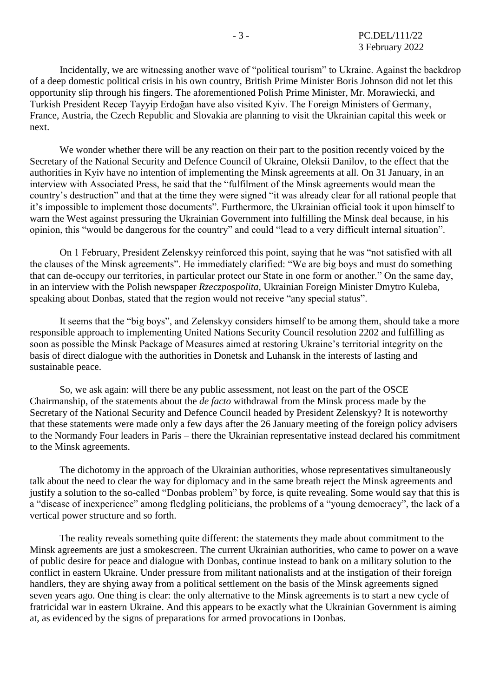Incidentally, we are witnessing another wave of "political tourism" to Ukraine. Against the backdrop of a deep domestic political crisis in his own country, British Prime Minister Boris Johnson did not let this opportunity slip through his fingers. The aforementioned Polish Prime Minister, Mr. Morawiecki, and Turkish President Recep Tayyip Erdoğan have also visited Kyiv. The Foreign Ministers of Germany, France, Austria, the Czech Republic and Slovakia are planning to visit the Ukrainian capital this week or next.

We wonder whether there will be any reaction on their part to the position recently voiced by the Secretary of the National Security and Defence Council of Ukraine, Oleksii Danilov, to the effect that the authorities in Kyiv have no intention of implementing the Minsk agreements at all. On 31 January, in an interview with Associated Press, he said that the "fulfilment of the Minsk agreements would mean the country's destruction" and that at the time they were signed "it was already clear for all rational people that it's impossible to implement those documents". Furthermore, the Ukrainian official took it upon himself to warn the West against pressuring the Ukrainian Government into fulfilling the Minsk deal because, in his opinion, this "would be dangerous for the country" and could "lead to a very difficult internal situation".

On 1 February, President Zelenskyy reinforced this point, saying that he was "not satisfied with all the clauses of the Minsk agreements". He immediately clarified: "We are big boys and must do something that can de-occupy our territories, in particular protect our State in one form or another." On the same day, in an interview with the Polish newspaper *Rzeczpospolita*, Ukrainian Foreign Minister Dmytro Kuleba, speaking about Donbas, stated that the region would not receive "any special status".

It seems that the "big boys", and Zelenskyy considers himself to be among them, should take a more responsible approach to implementing United Nations Security Council resolution 2202 and fulfilling as soon as possible the Minsk Package of Measures aimed at restoring Ukraine's territorial integrity on the basis of direct dialogue with the authorities in Donetsk and Luhansk in the interests of lasting and sustainable peace.

So, we ask again: will there be any public assessment, not least on the part of the OSCE Chairmanship, of the statements about the *de facto* withdrawal from the Minsk process made by the Secretary of the National Security and Defence Council headed by President Zelenskyy? It is noteworthy that these statements were made only a few days after the 26 January meeting of the foreign policy advisers to the Normandy Four leaders in Paris – there the Ukrainian representative instead declared his commitment to the Minsk agreements.

The dichotomy in the approach of the Ukrainian authorities, whose representatives simultaneously talk about the need to clear the way for diplomacy and in the same breath reject the Minsk agreements and justify a solution to the so-called "Donbas problem" by force, is quite revealing. Some would say that this is a "disease of inexperience" among fledgling politicians, the problems of a "young democracy", the lack of a vertical power structure and so forth.

The reality reveals something quite different: the statements they made about commitment to the Minsk agreements are just a smokescreen. The current Ukrainian authorities, who came to power on a wave of public desire for peace and dialogue with Donbas, continue instead to bank on a military solution to the conflict in eastern Ukraine. Under pressure from militant nationalists and at the instigation of their foreign handlers, they are shying away from a political settlement on the basis of the Minsk agreements signed seven years ago. One thing is clear: the only alternative to the Minsk agreements is to start a new cycle of fratricidal war in eastern Ukraine. And this appears to be exactly what the Ukrainian Government is aiming at, as evidenced by the signs of preparations for armed provocations in Donbas.